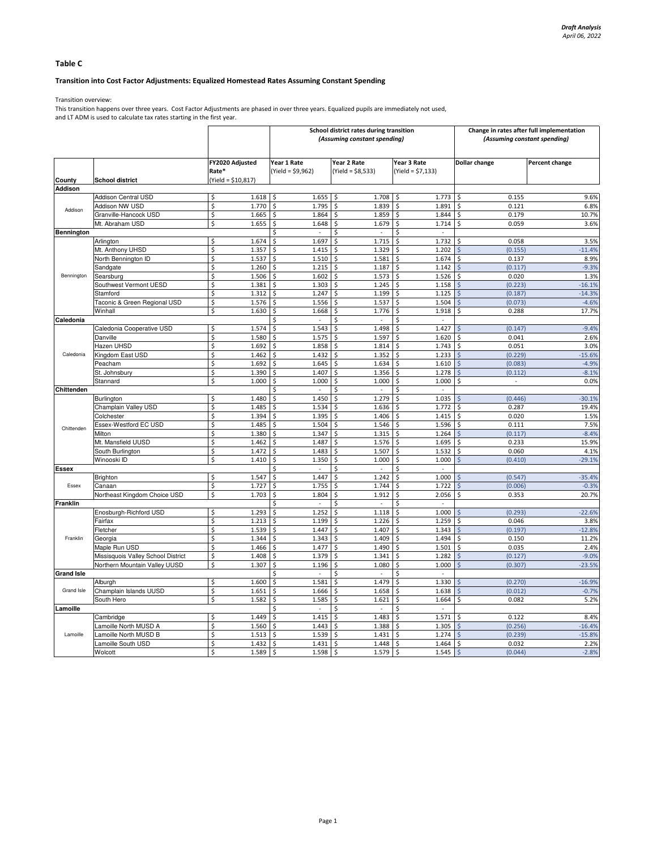# Table C

## Transition into Cost Factor Adjustments: Equalized Homestead Rates Assuming Constant Spending

Transition overview:

This transition happens over three years. Cost Factor Adjustments are phased in over three years. Equalized pupils are immediately not used, and LT ADM is used to calculate tax rates starting in the first year.

|                          |                                    |                          |                                              | School district rates during transition<br>(Assuming constant spending) | Change in rates after full implementation<br>(Assuming constant spending) |                          |                   |
|--------------------------|------------------------------------|--------------------------|----------------------------------------------|-------------------------------------------------------------------------|---------------------------------------------------------------------------|--------------------------|-------------------|
|                          | <b>School district</b>             | FY2020 Adjusted<br>Rate* | Year 1 Rate<br>(Yield = \$9,962)             | Year 2 Rate<br>$(Yield = $8,533)$                                       | Year 3 Rate<br>$(Yield = $7,133)$                                         | Dollar change            | Percent change    |
| County<br><b>Addison</b> |                                    | (Yield = \$10,817)       |                                              |                                                                         |                                                                           |                          |                   |
|                          | <b>Addison Central USD</b>         | Ś<br>1.618               | \$<br>1.655                                  | \$<br>1.708                                                             | 1.773<br>\$                                                               | 0.155                    | 9.6%              |
|                          | Addison NW USD                     | \$<br>1.770              | \$<br>1.795                                  | \$<br>1.839                                                             | \$<br>1.891                                                               | 0.121                    | 6.8%              |
| Addison                  | Granville-Hancock USD              | \$<br>1.665              | \$<br>1.864                                  | \$<br>1.859                                                             | \$<br>1.844                                                               | Ś.<br>0.179              | 10.7%             |
|                          | Mt. Abraham USD                    | \$<br>1.655              | \$<br>1.648                                  | 1.679<br>\$                                                             | 1.714<br>\$                                                               | 0.059<br>S,              | 3.6%              |
| Bennington               |                                    |                          | Ŝ.<br>$\overline{a}$                         | Ś<br>$\sim$                                                             | Ŝ.<br>$\sim$                                                              |                          |                   |
|                          | Arlington                          | Ś<br>1.674               | \$<br>1.697                                  | \$<br>1.715                                                             | \$<br>1.732                                                               | 0.058<br>\$              | 3.5%              |
|                          | Mt. Anthony UHSD                   | \$<br>1.357              | \$<br>1.415                                  | 1.329<br>\$                                                             | \$<br>1.202                                                               | (0.155)<br>$\zeta$       | $-11.4%$          |
|                          | North Bennington ID                | \$<br>1.537              | \$<br>1.510                                  | \$<br>1.581                                                             | \$<br>1.674                                                               | \$<br>0.137              | 8.9%              |
|                          | Sandgate                           | \$<br>1.260              | \$<br>1.215                                  | \$<br>1.187                                                             | \$<br>1.142                                                               | (0.117)<br>$\zeta$       | $-9.3%$           |
| Bennington               | Searsburg                          | \$<br>1.506              | \$<br>1.602                                  | $\dot{\mathsf{S}}$<br>1.573                                             | \$<br>1.526                                                               | \$<br>0.020              | 1.3%              |
|                          | Southwest Vermont UESD             | \$<br>1.381              | \$<br>1.303                                  | \$<br>1.245                                                             | \$<br>1.158                                                               | (0.223)<br>$\mathsf{S}$  | $-16.1%$          |
|                          | <b>Stamford</b>                    | \$<br>1.312              | \$<br>1.247                                  | \$<br>1.199                                                             | 1.125<br>\$                                                               | (0.187)<br>Ś             | $-14.3%$          |
|                          | Taconic & Green Regional USD       | \$<br>1.576              | \$<br>1.556                                  | \$<br>1.537                                                             | 1.504<br>\$                                                               | (0.073)<br>\$            | $-4.6%$           |
|                          | Winhall                            | \$<br>1.630              | Ś<br>1.668                                   | \$<br>1.776                                                             | \$<br>1.918                                                               | Ś<br>0.288               | 17.7%             |
|                          |                                    |                          | Ś                                            | \$                                                                      | \$<br>$\overline{\phantom{a}}$                                            |                          |                   |
| Caledonia                | Caledonia Cooperative USD          | Ś<br>1.574               | \$<br>1.543                                  | \$<br>1.498                                                             | \$<br>1.427                                                               | (0.147)                  | $-9.4%$           |
|                          | Danville                           | \$<br>1.580              | \$<br>1.575                                  | \$<br>1.597                                                             | \$<br>1.620                                                               | 0.041<br>\$              | 2.6%              |
|                          | Hazen UHSD                         | \$<br>1.692              | \$<br>1.858                                  | \$<br>1.814                                                             | \$<br>1.743                                                               | \$<br>0.051              | 3.0%              |
| Caledonia                |                                    | \$<br>1.462              | \$<br>1.432                                  | \$                                                                      | 1.233<br>\$                                                               | Ś                        | $-15.6%$          |
|                          | Kingdom East USD<br>Peacham        | \$<br>1.692              | 1.645<br>\$                                  | 1.352<br>1.634<br>\$                                                    | 1.610<br>\$.                                                              | (0.229)<br>(0.083)<br>Ŝ. | $-4.9%$           |
|                          | St. Johnsbury                      | \$                       | 1.407                                        |                                                                         | 1.278                                                                     |                          | $-8.1%$           |
|                          |                                    | 1.390<br>\$              | \$                                           | \$<br>1.356                                                             | \$                                                                        | (0.112)<br>\$<br>Ś.      |                   |
|                          | Stannard                           | 1.000                    | \$<br>1.000<br>Ś<br>$\overline{\phantom{a}}$ | \$<br>1.000<br>\$<br>$\sim$                                             | \$<br>1.000<br>$\Box$                                                     | $\overline{\phantom{a}}$ | 0.0%              |
| Chittenden               | Burlington                         | 1.480<br>\$              | 1.450<br>\$                                  | 1.279<br>\$                                                             | \$<br>1.035<br>\$                                                         | (0.446)<br>Ś             | $-30.1%$          |
|                          |                                    | \$<br>1.485              | \$<br>1.534                                  | \$<br>1.636                                                             | \$<br>1.772                                                               | \$<br>0.287              | 19.4%             |
|                          | Champlain Valley USD<br>Colchester | Ś<br>1.394               | \$<br>1.395                                  | \$<br>1.406                                                             | \$<br>1.415                                                               | Ŝ.<br>0.020              | 1.5%              |
|                          |                                    | \$                       | Ś<br>1.504                                   | \$                                                                      | \$<br>1.596                                                               | \$<br>0.111              | 7.5%              |
| Chittenden               | Essex-Westford EC USD              | 1.485<br>\$<br>1.380     | \$<br>1.347                                  | 1.546<br>\$<br>1.315                                                    | \$<br>1.264                                                               | (0.117)<br>Ś             | $-8.4%$           |
|                          | Milton                             | \$<br>1.462              | 1.487<br>Ś                                   | 1.576<br>Ś                                                              | 1.695<br>\$                                                               | 0.233                    | 15.9%             |
|                          | Mt. Mansfield UUSD                 | Ś<br>1.472               | \$<br>1.483                                  | \$<br>1.507                                                             | 1.532<br>\$                                                               | \$<br>0.060              | 4.1%              |
|                          | South Burlington<br>Winooski ID    | \$<br>1.410              | \$                                           | \$<br>1.000                                                             | 1.000                                                                     | Ś<br>(0.410)             | $-29.1%$          |
|                          |                                    |                          | 1.350                                        |                                                                         | \$<br>Ś<br>$\sim$                                                         |                          |                   |
| Essex                    |                                    | 1.547<br>\$              | 1.447                                        | \$<br>1.242                                                             | 1.000<br>Ŝ.                                                               | (0.547)                  | $-35.4%$          |
|                          | Brighton                           | \$                       | \$                                           | \$<br>1.744                                                             | 1.722                                                                     | Ś                        | $-0.3%$           |
| Essex                    | Canaan                             | 1.727                    | \$<br>1.755                                  | \$                                                                      | \$                                                                        | (0.006)                  |                   |
|                          | Northeast Kingdom Choice USD       | \$<br>1.703              | 1.804<br>\$<br>÷.                            | 1.912<br>\$<br>÷.                                                       | 2.056<br>\$                                                               | \$<br>0.353              | 20.7%             |
| Franklin                 | Enosburgh-Richford USD             | \$<br>1.293              | \$<br>\$<br>1.252                            | \$<br>\$<br>1.118                                                       | \$<br>$\sim$<br>1.000<br>\$                                               | (0.293)                  | $-22.6%$          |
|                          |                                    | \$<br>1.213              |                                              | \$<br>1.226                                                             | \$<br>1.259                                                               | \$<br>0.046              | 3.8%              |
| Franklin                 | Fairfax                            | \$<br>1.539              | \$<br>1.199<br>1.447                         | \$<br>1.407                                                             | 1.343                                                                     | (0.197)                  |                   |
|                          | Fletcher                           | $\overline{\mathsf{S}}$  | \$<br>\$                                     | \$                                                                      | \$<br>\$                                                                  | Ŝ.<br>\$                 | $-12.8%$<br>11.2% |
|                          | Georgia                            | 1.344<br>\$              | 1.343<br>1.477                               | 1.409<br>1.490                                                          | 1.494                                                                     | 0.150                    | 2.4%              |
|                          | Maple Run USD                      | 1.466<br>\$              | \$                                           | \$                                                                      | 1.501<br>\$                                                               | 0.035<br>\$              | $-9.0%$           |
|                          | Missisquois Valley School District | 1.408                    | \$<br>1.379                                  | \$<br>1.341                                                             | \$<br>1.282                                                               | (0.127)                  |                   |
|                          | Northern Mountain Valley UUSD      | \$<br>1.307              | \$<br>1.196                                  | \$<br>1.080                                                             | \$<br>1.000                                                               | $\zeta$<br>(0.307)       | $-23.5%$          |
| <b>Grand Isle</b>        |                                    |                          |                                              | \$                                                                      |                                                                           |                          |                   |
|                          | Alburgh                            | \$<br>1.600              | 1.581<br>\$                                  | \$<br>1.479                                                             | 1.330<br>\$                                                               | (0.270)                  | $-16.9%$          |
| Grand Isle               | Champlain Islands UUSD             | \$<br>1.651              | \$<br>1.666                                  | \$<br>1.658                                                             | \$<br>1.638                                                               | (0.012)<br>Ś             | $-0.7%$           |
|                          | South Hero                         | \$<br>1.582              | \$<br>1.585                                  | \$<br>1.621                                                             | \$<br>1.664                                                               | \$<br>0.082              | 5.2%              |
| Lamoille                 |                                    | Ŝ.<br>$\sim$             | \$<br>$\sim$                                 | \$<br>$\bar{\phantom{a}}$                                               |                                                                           |                          |                   |
|                          | Cambridge                          | Ś<br>1.449               | \$<br>1.415                                  | \$<br>1.483                                                             | 1.571<br>\$                                                               | 0.122<br>Ŝ.              | 8.4%              |
|                          | amoille North MUSD A               | \$<br>1.560              | 1.443<br>\$                                  | \$<br>1.388                                                             | \$<br>1.305                                                               | (0.256)<br>Ŝ.            | $-16.4%$          |
| Lamoille                 | amoille North MUSD B               | \$<br>1.513              | \$<br>1.539                                  | \$<br>1.431                                                             | \$<br>1.274                                                               | $\zeta$<br>(0.239)       | $-15.8%$          |
|                          | amoille South USD                  | \$<br>1.432              | Ŝ.<br>1.431                                  | \$<br>1.448                                                             | \$<br>1.464                                                               | \$<br>0.032              | 2.2%              |
|                          | Wolcott                            | Ś<br>1.589               | \$<br>1.598                                  | \$<br>1.579                                                             | $\mathsf{\hat{S}}$<br>1.545                                               | $\zeta$<br>(0.044)       | $-2.8%$           |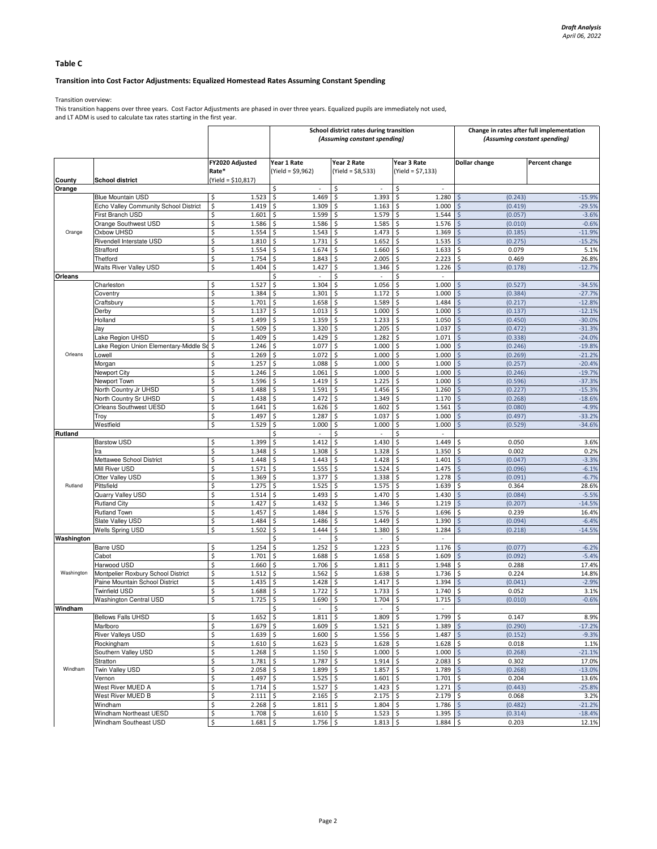# Table C

## Transition into Cost Factor Adjustments: Equalized Homestead Rates Assuming Constant Spending

Transition overview:

This transition happens over three years. Cost Factor Adjustments are phased in over three years. Equalized pupils are immediately not used, and LT ADM is used to calculate tax rates starting in the first year.

|            |                                                           |                            |                                      | School district rates during transition<br>(Assuming constant spending) | Change in rates after full implementation<br>(Assuming constant spending) |                                          |                       |
|------------|-----------------------------------------------------------|----------------------------|--------------------------------------|-------------------------------------------------------------------------|---------------------------------------------------------------------------|------------------------------------------|-----------------------|
|            |                                                           | FY2020 Adjusted<br>Rate*   | Year 1 Rate<br>$(Yield = $9,962)$    | Year 2 Rate<br>$(Yield = $8,533)$                                       | Year 3 Rate<br>$(Yield = $7,133)$                                         | Dollar change                            | <b>Percent change</b> |
| County     | <b>School district</b>                                    | $(Yield = $10,817)$        |                                      |                                                                         |                                                                           |                                          |                       |
| Orange     |                                                           |                            | \$                                   | \$                                                                      | \$                                                                        |                                          |                       |
|            | <b>Blue Mountain USD</b>                                  | \$<br>1.523                | \$<br>1.469                          | \$<br>1.393                                                             | \$<br>1.280                                                               | \$<br>(0.243)                            | $-15.9%$              |
|            | Echo Valley Community School District<br>First Branch USD | \$<br>1.419<br>\$<br>1.601 | \$<br>1.309<br>1.599                 | \$<br>1.163<br>\$<br>1.579                                              | \$<br>1.000<br>\$<br>1.544                                                | $\mathsf{\hat{S}}$<br>(0.419)<br>(0.057) | $-29.5%$<br>$-3.6%$   |
|            | Orange Southwest USD                                      | \$<br>1.586                | \$<br>\$<br>1.586                    | \$<br>1.585                                                             | 1.576<br>\$                                                               | \$<br>\$<br>(0.010)                      | $-0.6%$               |
| Orange     | Oxbow UHSD                                                | \$<br>1.554                | \$<br>1.543                          | \$<br>1.473                                                             | \$<br>1.369                                                               | \$<br>(0.185)                            | $-11.9%$              |
|            | Rivendell Interstate USD                                  | \$<br>1.810                | 1.731<br>\$                          | \$<br>1.652                                                             | \$<br>1.535                                                               | \$<br>(0.275)                            | $-15.2%$              |
|            | Strafford                                                 | \$<br>1.554                | \$<br>1.674                          | \$<br>1.660                                                             | \$<br>1.633                                                               | \$<br>0.079                              | 5.1%                  |
|            | Thetford                                                  | \$<br>1.754                | \$<br>1.843                          | \$<br>2.005                                                             | \$<br>2.223                                                               | \$<br>0.469                              | 26.8%                 |
|            | Waits River Valley USD                                    | \$<br>1.404                | \$<br>1.427                          | \$<br>1.346                                                             | \$<br>1.226                                                               | $\dot{\mathsf{S}}$<br>(0.178)            | $-12.7%$              |
| Orleans    |                                                           |                            | \$<br>$\overline{\phantom{a}}$       | \$<br>$\overline{\phantom{a}}$                                          | \$<br>$\overline{\phantom{a}}$                                            |                                          |                       |
|            | Charleston                                                | \$<br>1.527                | \$<br>1.304                          | \$<br>1.056                                                             | \$<br>1.000                                                               | \$<br>(0.527)                            | $-34.5%$              |
|            | Coventry                                                  | \$<br>1.384                | 1.301<br>\$                          | \$<br>1.172                                                             | \$<br>1.000                                                               | (0.384)<br>\$                            | $-27.7%$              |
|            | Craftsbury                                                | \$<br>1.701                | \$<br>1.658                          | \$<br>1.589                                                             | \$<br>1.484                                                               | \$<br>(0.217)                            | $-12.8%$              |
|            | Derby                                                     | \$<br>1.137                | \$<br>1.013                          | \$<br>1.000                                                             | \$<br>1.000                                                               | $\ddot{\varsigma}$<br>(0.137)            | $-12.1%$              |
|            | Holland<br>Jav                                            | \$<br>1.499<br>\$<br>1.509 | \$<br>1.359<br>1.320<br>\$           | \$<br>1.233<br>\$<br>1.205                                              | \$<br>1.050<br>\$<br>1.037                                                | $\zeta$<br>(0.450)<br>(0.472)<br>\$      | $-30.0%$<br>$-31.3%$  |
|            | Lake Region UHSD                                          | \$<br>1.409                | 1.429<br>Ŝ.                          | \$<br>1.282                                                             | \$<br>1.071                                                               | $\mathsf{S}$<br>(0.338)                  | $-24.0%$              |
|            | Lake Region Union Elementary-Middle So                    | \$<br>1.246                | 1.077<br>Ś                           | \$<br>1.000                                                             | \$<br>1.000                                                               | $\dot{\mathsf{S}}$<br>(0.246)            | $-19.8%$              |
| Orleans    | Lowell                                                    | \$<br>1.269                | \$<br>1.072                          | \$<br>1.000                                                             | \$<br>1.000                                                               | \$<br>(0.269)                            | $-21.2%$              |
|            | Morgan                                                    | \$<br>1.257                | \$<br>1.088                          | \$<br>1.000                                                             | \$<br>1.000                                                               | $\zeta$<br>(0.257)                       | $-20.4%$              |
|            | Newport City                                              | \$<br>1.246                | 1.061<br>\$                          | \$<br>1.000                                                             | \$<br>1.000                                                               | \$<br>(0.246)                            | $-19.7%$              |
|            | Newport Town                                              | \$<br>1.596                | \$<br>1.419                          | \$<br>1.225                                                             | \$<br>1.000                                                               | \$<br>(0.596)                            | $-37.3%$              |
|            | North Country Jr UHSD                                     | \$<br>1.488                | \$<br>1.591                          | \$<br>1.456                                                             | \$<br>1.260                                                               | $\zeta$<br>(0.227)                       | $-15.3%$              |
|            | North Country Sr UHSD                                     | \$<br>1.438                | 1.472<br>\$                          | \$<br>1.349                                                             | \$<br>1.170                                                               | \$<br>(0.268)                            | $-18.6%$              |
|            | Orleans Southwest UESD                                    | \$<br>1.641                | \$<br>1.626                          | \$<br>1.602                                                             | \$<br>1.561                                                               | $\zeta$<br>(0.080)                       | $-4.9%$               |
|            | Troy                                                      | \$<br>1.497                | \$<br>1.287                          | \$<br>1.037                                                             | \$<br>1.000                                                               | $\zeta$<br>(0.497)                       | $-33.2%$              |
|            | Westfield                                                 | \$<br>1.529                | \$<br>1.000                          | \$<br>1.000                                                             | \$<br>1.000                                                               | Ś<br>(0.529)                             | $-34.6%$              |
| Rutland    | <b>Barstow USD</b>                                        | \$<br>1.399                | \$<br>\$<br>1.412                    | \$<br>\$<br>1.430                                                       | \$<br>\$<br>1.449                                                         | \$<br>0.050                              | 3.6%                  |
|            | Ira                                                       | \$<br>1.348                | 1.308<br>\$                          | \$<br>1.328                                                             | \$<br>1.350                                                               | \$<br>0.002                              | 0.2%                  |
|            | Mettawee School District                                  | \$<br>1.448                | \$<br>1.443                          | \$<br>1.428                                                             | \$<br>1.401                                                               | \$<br>(0.047)                            | $-3.3%$               |
|            | Mill River USD                                            | \$<br>1.571                | \$<br>1.555                          | \$<br>1.524                                                             | \$<br>1.475                                                               | \$<br>(0.096)                            | $-6.1%$               |
|            | Otter Valley USD                                          | \$<br>1.369                | \$<br>1.377                          | \$<br>1.338                                                             | \$<br>1.278                                                               | \$<br>(0.091)                            | $-6.7%$               |
| Rutland    | Pittsfield                                                | \$<br>1.275                | \$<br>1.525                          | \$<br>1.575                                                             | \$<br>1.639                                                               | \$<br>0.364                              | 28.6%                 |
|            | Quarry Valley USD                                         | \$<br>1.514                | \$<br>1.493                          | 1.470<br>\$                                                             | \$<br>1.430                                                               | \$<br>(0.084)                            | $-5.5%$               |
|            | <b>Rutland City</b>                                       | \$<br>1.427                | \$<br>1.432                          | \$<br>1.346                                                             | \$<br>1.219                                                               | (0.207)<br>\$                            | $-14.5%$              |
|            | Rutland Town                                              | \$<br>1.457                | 1.484<br>\$                          | \$<br>1.576                                                             | 1.696<br>\$                                                               | 0.239<br>\$                              | 16.4%                 |
|            | Slate Valley USD                                          | \$<br>1.484                | \$<br>1.486                          | \$<br>1.449                                                             | \$<br>1.390                                                               | \$<br>(0.094)                            | $-6.4%$               |
|            | Wells Spring USD                                          | \$<br>1.502                | \$<br>1.444                          | \$<br>1.380                                                             | \$<br>1.284                                                               | \$<br>(0.218)                            | $-14.5%$              |
| Washington |                                                           |                            | Ś                                    | \$                                                                      | \$<br>÷,                                                                  |                                          |                       |
| Washington | Barre USD                                                 | 1.254<br>\$<br>\$          | \$<br>1.252                          | \$<br>1.223                                                             | \$<br>1.176                                                               | Š.<br>(0.077)<br>\$                      | $-6.2%$<br>$-5.4%$    |
|            | Cabot<br>Harwood USD                                      | 1.701<br>\$<br>1.660       | \$<br>1.688<br>\$<br>1.706           | \$<br>1.658<br>\$<br>1.811                                              | \$<br>1.609<br>\$<br>1.948                                                | (0.092)<br>\$<br>0.288                   | 17.4%                 |
|            | Montpelier Roxbury School District                        | \$<br>1.512                | \$<br>1.562                          | \$<br>1.638                                                             | \$<br>1.736                                                               | -\$<br>0.224                             | 14.8%                 |
|            | Paine Mountain School District                            | \$<br>1.435                | 1.428<br>\$                          | \$<br>1.417                                                             | \$<br>1.394                                                               | $\zeta$<br>(0.041)                       | $-2.9%$               |
|            | Twinfield USD                                             | \$<br>1.688                | 1.722<br>\$                          | \$<br>1.733                                                             | \$<br>1.740                                                               | \$<br>0.052                              | 3.1%                  |
|            | <b>Washington Central USD</b>                             | \$<br>1.725                | \$<br>1.690                          | \$<br>1.704                                                             | \$<br>1.715                                                               | \$<br>(0.010)                            | $-0.6%$               |
| Windham    |                                                           |                            | Ş                                    | Ş                                                                       |                                                                           |                                          |                       |
|            | <b>Bellows Falls UHSD</b>                                 | \$<br>1.652                | \$<br>$1.811$ \$                     | $1.809$ \$                                                              | $1.799$ \$                                                                | 0.147                                    | 8.9%                  |
|            | Marlboro                                                  | \$<br>1.679                | $1.609$ \$<br>\$                     | $1.521$ \$                                                              | $1.389$ \$                                                                | (0.290)                                  | $-17.2%$              |
| Windham    | River Valleys USD                                         | \$<br>1.639                | $\ddot{\circ}$<br>$1.600$ \$         | $1.556$ \$                                                              | 1.487S                                                                    | (0.152)                                  | $-9.3%$               |
|            | Rockingham                                                | \$<br>$1.610 \pm 5$        | $1.623$ \$                           | $1.628$ \$                                                              | $1.628$ \$                                                                | 0.018                                    | 1.1%                  |
|            | Southern Valley USD                                       | \$<br>1.268                | $1.150$ \$<br>l \$                   | $1.000$ \$                                                              | $1.000$ \$                                                                | (0.268)                                  | $-21.1%$              |
|            | Stratton                                                  | \$<br>1.781                | $1.787$ \$<br>\$                     | 1.914                                                                   | 5<br>$2.083$ \$                                                           | 0.302                                    | 17.0%                 |
|            | Twin Valley USD                                           | \$<br>2.058                | \$<br>$1.899$ \$                     | 1.857                                                                   | $1.789$ \$<br>l \$                                                        | (0.268)                                  | $-13.0%$              |
|            | Vernon                                                    | \$<br>1.497                | \$<br>$1.525$ \$                     | $1.601$ \$                                                              | $1.701$ \$                                                                | 0.204                                    | 13.6%                 |
|            | West River MUED A<br>West River MUED B                    | \$<br>1.714<br>\$<br>2.111 | $1.527$ \$<br>\$<br>\$<br>$2.165$ \$ | 1.423<br>$2.175$ \$                                                     | \$<br>$1.271$ \$<br>$2.179$ \$                                            | (0.443)<br>0.068                         | $-25.8%$<br>3.2%      |
|            | Windham                                                   | \$<br>$2.268$ \$           | $1.811 \pm 5$                        | $1.804$ \$                                                              | $1.786$ \$                                                                | (0.482)                                  | $-21.2%$              |
|            | Windham Northeast UESD                                    | \$<br>1.708                | $\ddot{\circ}$<br>$1.610$ \$         | $1.523$ \$                                                              | $1.395$ \$                                                                | (0.314)                                  | $-18.4%$              |
|            | Windham Southeast USD                                     | \$<br>1.681                | $1.756$ \$<br>$\sqrt{2}$             | $1.813 \quad $$                                                         | $1.884$ \$                                                                | 0.203                                    | 12.1%                 |